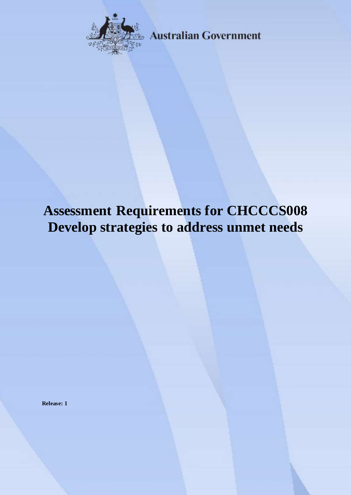

**Australian Government** 

# **Assessment Requirements for CHCCCS008 Develop strategies to address unmet needs**

**Release: 1**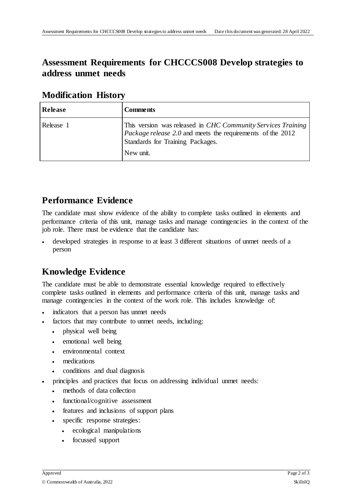## **Assessment Requirements for CHCCCS008 Develop strategies to address unmet needs**

| Release   | Comments                                                                                                                                                                                  |
|-----------|-------------------------------------------------------------------------------------------------------------------------------------------------------------------------------------------|
| Release 1 | This version was released in <i>CHC Community Services Training</i><br><i>Package release 2.0</i> and meets the requirements of the 2012<br>Standards for Training Packages.<br>New unit. |

#### **Modification History**

## **Performance Evidence**

The candidate must show evidence of the ability to complete tasks outlined in elements and performance criteria of this unit, manage tasks and manage contingencies in the context of the job role. There must be evidence that the candidate has:

 developed strategies in response to at least 3 different situations of unmet needs of a person

## **Knowledge Evidence**

The candidate must be able to demonstrate essential knowledge required to effectively complete tasks outlined in elements and performance criteria of this unit, manage tasks and manage contingencies in the context of the work role. This includes knowledge of:

- indicators that a person has unmet needs
- factors that may contribute to unmet needs, including:
	- physical well being
	- emotional well being
	- environmental context
	- medications
	- conditions and dual diagnosis
- principles and practices that focus on addressing individual unmet needs:
	- methods of data collection
	- functional/cognitive assessment
	- features and inclusions of support plans
	- specific response strategies:
		- ecological manipulations
		- focussed support